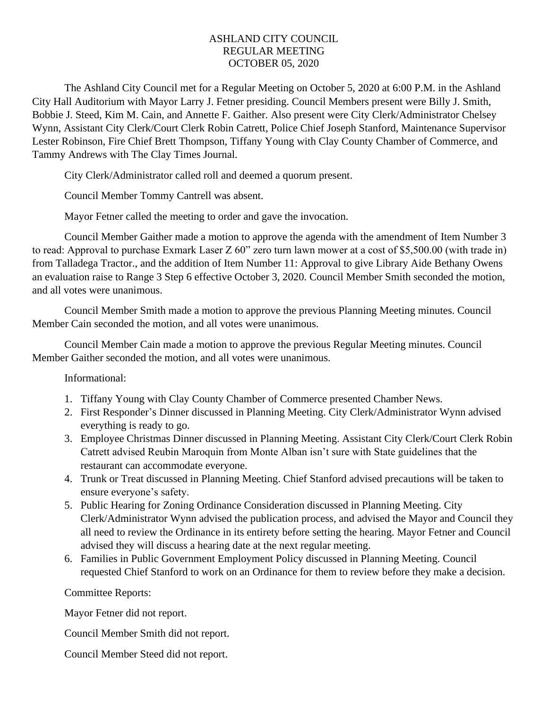## ASHLAND CITY COUNCIL REGULAR MEETING OCTOBER 05, 2020

The Ashland City Council met for a Regular Meeting on October 5, 2020 at 6:00 P.M. in the Ashland City Hall Auditorium with Mayor Larry J. Fetner presiding. Council Members present were Billy J. Smith, Bobbie J. Steed, Kim M. Cain, and Annette F. Gaither. Also present were City Clerk/Administrator Chelsey Wynn, Assistant City Clerk/Court Clerk Robin Catrett, Police Chief Joseph Stanford, Maintenance Supervisor Lester Robinson, Fire Chief Brett Thompson, Tiffany Young with Clay County Chamber of Commerce, and Tammy Andrews with The Clay Times Journal.

City Clerk/Administrator called roll and deemed a quorum present.

Council Member Tommy Cantrell was absent.

Mayor Fetner called the meeting to order and gave the invocation.

Council Member Gaither made a motion to approve the agenda with the amendment of Item Number 3 to read: Approval to purchase Exmark Laser Z 60" zero turn lawn mower at a cost of \$5,500.00 (with trade in) from Talladega Tractor., and the addition of Item Number 11: Approval to give Library Aide Bethany Owens an evaluation raise to Range 3 Step 6 effective October 3, 2020. Council Member Smith seconded the motion, and all votes were unanimous.

Council Member Smith made a motion to approve the previous Planning Meeting minutes. Council Member Cain seconded the motion, and all votes were unanimous.

Council Member Cain made a motion to approve the previous Regular Meeting minutes. Council Member Gaither seconded the motion, and all votes were unanimous.

Informational:

- 1. Tiffany Young with Clay County Chamber of Commerce presented Chamber News.
- 2. First Responder's Dinner discussed in Planning Meeting. City Clerk/Administrator Wynn advised everything is ready to go.
- 3. Employee Christmas Dinner discussed in Planning Meeting. Assistant City Clerk/Court Clerk Robin Catrett advised Reubin Maroquin from Monte Alban isn't sure with State guidelines that the restaurant can accommodate everyone.
- 4. Trunk or Treat discussed in Planning Meeting. Chief Stanford advised precautions will be taken to ensure everyone's safety.
- 5. Public Hearing for Zoning Ordinance Consideration discussed in Planning Meeting. City Clerk/Administrator Wynn advised the publication process, and advised the Mayor and Council they all need to review the Ordinance in its entirety before setting the hearing. Mayor Fetner and Council advised they will discuss a hearing date at the next regular meeting.
- 6. Families in Public Government Employment Policy discussed in Planning Meeting. Council requested Chief Stanford to work on an Ordinance for them to review before they make a decision.

Committee Reports:

Mayor Fetner did not report.

Council Member Smith did not report.

Council Member Steed did not report.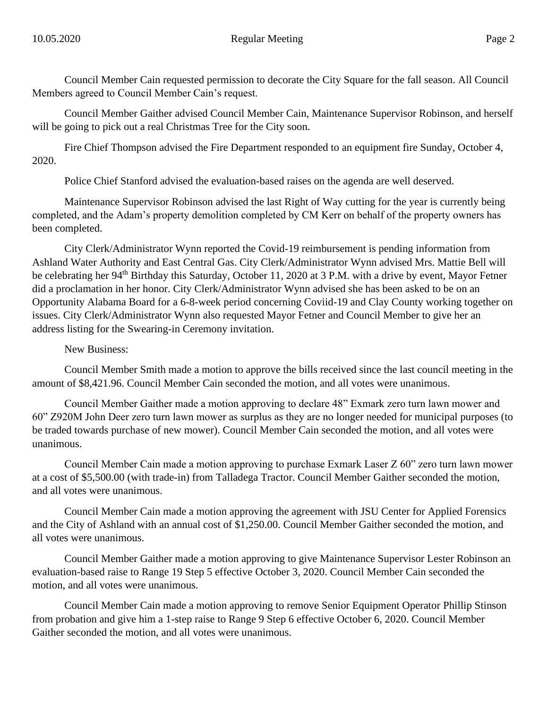Council Member Cain requested permission to decorate the City Square for the fall season. All Council Members agreed to Council Member Cain's request.

Council Member Gaither advised Council Member Cain, Maintenance Supervisor Robinson, and herself will be going to pick out a real Christmas Tree for the City soon.

Fire Chief Thompson advised the Fire Department responded to an equipment fire Sunday, October 4, 2020.

Police Chief Stanford advised the evaluation-based raises on the agenda are well deserved.

Maintenance Supervisor Robinson advised the last Right of Way cutting for the year is currently being completed, and the Adam's property demolition completed by CM Kerr on behalf of the property owners has been completed.

City Clerk/Administrator Wynn reported the Covid-19 reimbursement is pending information from Ashland Water Authority and East Central Gas. City Clerk/Administrator Wynn advised Mrs. Mattie Bell will be celebrating her 94<sup>th</sup> Birthday this Saturday, October 11, 2020 at 3 P.M. with a drive by event, Mayor Fetner did a proclamation in her honor. City Clerk/Administrator Wynn advised she has been asked to be on an Opportunity Alabama Board for a 6-8-week period concerning Coviid-19 and Clay County working together on issues. City Clerk/Administrator Wynn also requested Mayor Fetner and Council Member to give her an address listing for the Swearing-in Ceremony invitation.

New Business:

Council Member Smith made a motion to approve the bills received since the last council meeting in the amount of \$8,421.96. Council Member Cain seconded the motion, and all votes were unanimous.

Council Member Gaither made a motion approving to declare 48" Exmark zero turn lawn mower and 60" Z920M John Deer zero turn lawn mower as surplus as they are no longer needed for municipal purposes (to be traded towards purchase of new mower). Council Member Cain seconded the motion, and all votes were unanimous.

Council Member Cain made a motion approving to purchase Exmark Laser Z 60" zero turn lawn mower at a cost of \$5,500.00 (with trade-in) from Talladega Tractor. Council Member Gaither seconded the motion, and all votes were unanimous.

Council Member Cain made a motion approving the agreement with JSU Center for Applied Forensics and the City of Ashland with an annual cost of \$1,250.00. Council Member Gaither seconded the motion, and all votes were unanimous.

Council Member Gaither made a motion approving to give Maintenance Supervisor Lester Robinson an evaluation-based raise to Range 19 Step 5 effective October 3, 2020. Council Member Cain seconded the motion, and all votes were unanimous.

Council Member Cain made a motion approving to remove Senior Equipment Operator Phillip Stinson from probation and give him a 1-step raise to Range 9 Step 6 effective October 6, 2020. Council Member Gaither seconded the motion, and all votes were unanimous.